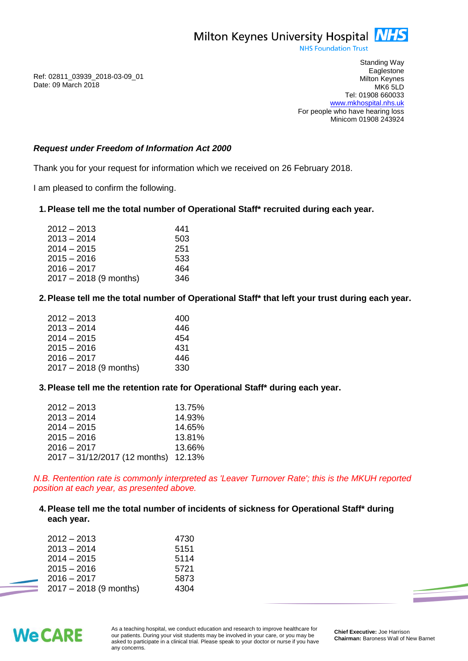

**NHS Foundation Trust** 

Ref: 02811\_03939\_2018-03-09\_01 Date: 09 March 2018

Standing Way **Eaglestone** Milton Keynes MK6 5LD Tel: 01908 660033 [www.mkhospital.nhs.uk](http://www.mkhospital.nhs.uk/) For people who have hearing loss Minicom 01908 243924

## *Request under Freedom of Information Act 2000*

Thank you for your request for information which we received on 26 February 2018.

I am pleased to confirm the following.

#### **1.Please tell me the total number of Operational Staff\* recruited during each year.**

| $2012 - 2013$            | 441 |
|--------------------------|-----|
| $2013 - 2014$            | 503 |
| $2014 - 2015$            | 251 |
| $2015 - 2016$            | 533 |
| $2016 - 2017$            | 464 |
| $2017 - 2018$ (9 months) | 346 |

# **2.Please tell me the total number of Operational Staff\* that left your trust during each year.**

| $2012 - 2013$            | 400 |
|--------------------------|-----|
| $2013 - 2014$            | 446 |
| $2014 - 2015$            | 454 |
| $2015 - 2016$            | 431 |
| $2016 - 2017$            | 446 |
| $2017 - 2018$ (9 months) | 330 |

#### **3.Please tell me the retention rate for Operational Staff\* during each year.**

| $2012 - 2013$                 | 13.75% |
|-------------------------------|--------|
| $2013 - 2014$                 | 14.93% |
| $2014 - 2015$                 | 14.65% |
| $2015 - 2016$                 | 13.81% |
| $2016 - 2017$                 | 13.66% |
| 2017 - 31/12/2017 (12 months) | 12.13% |

*N.B. Rentention rate is commonly interpreted as 'Leaver Turnover Rate'; this is the MKUH reported position at each year, as presented above.*

#### **4.Please tell me the total number of incidents of sickness for Operational Staff\* during each year.**

| $2012 - 2013$            | 4730 |
|--------------------------|------|
| $2013 - 2014$            | 5151 |
| $2014 - 2015$            | 5114 |
| $2015 - 2016$            | 5721 |
| $2016 - 2017$            | 5873 |
| $2017 - 2018$ (9 months) | 4304 |



As a teaching hospital, we conduct education and research to improve healthcare for our patients. During your visit students may be involved in your care, or you may be asked to participate in a clinical trial. Please speak to your doctor or nurse if you have any concerns.

**Chief Executive:** Joe Harrison **Chairman:** Baroness Wall of New Barnet